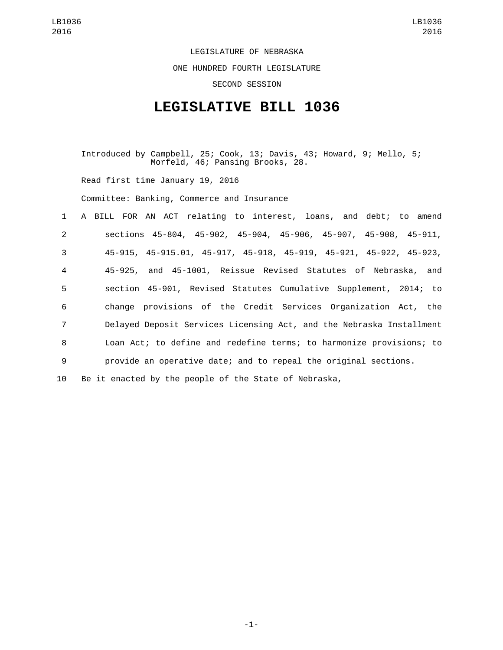LEGISLATURE OF NEBRASKA ONE HUNDRED FOURTH LEGISLATURE SECOND SESSION

## **LEGISLATIVE BILL 1036**

Introduced by Campbell, 25; Cook, 13; Davis, 43; Howard, 9; Mello, 5; Morfeld, 46; Pansing Brooks, 28. Read first time January 19, 2016 Committee: Banking, Commerce and Insurance A BILL FOR AN ACT relating to interest, loans, and debt; to amend sections 45-804, 45-902, 45-904, 45-906, 45-907, 45-908, 45-911, 45-915, 45-915.01, 45-917, 45-918, 45-919, 45-921, 45-922, 45-923, 45-925, and 45-1001, Reissue Revised Statutes of Nebraska, and section 45-901, Revised Statutes Cumulative Supplement, 2014; to change provisions of the Credit Services Organization Act, the Delayed Deposit Services Licensing Act, and the Nebraska Installment Loan Act; to define and redefine terms; to harmonize provisions; to provide an operative date; and to repeal the original sections. Be it enacted by the people of the State of Nebraska,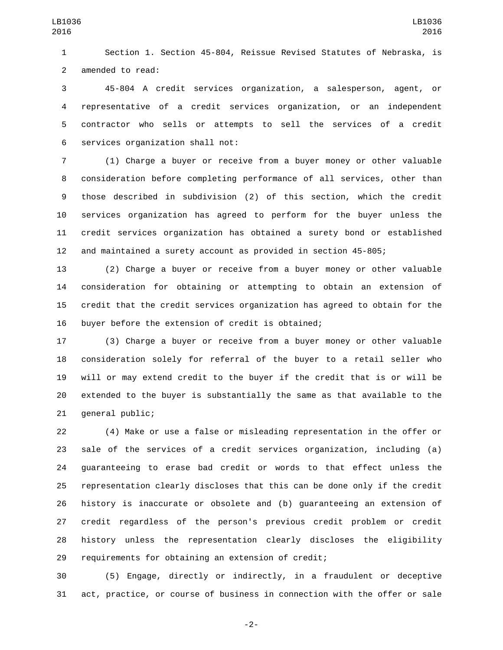Section 1. Section 45-804, Reissue Revised Statutes of Nebraska, is 2 amended to read:

 45-804 A credit services organization, a salesperson, agent, or representative of a credit services organization, or an independent contractor who sells or attempts to sell the services of a credit 6 services organization shall not:

 (1) Charge a buyer or receive from a buyer money or other valuable consideration before completing performance of all services, other than those described in subdivision (2) of this section, which the credit services organization has agreed to perform for the buyer unless the credit services organization has obtained a surety bond or established and maintained a surety account as provided in section 45-805;

 (2) Charge a buyer or receive from a buyer money or other valuable consideration for obtaining or attempting to obtain an extension of credit that the credit services organization has agreed to obtain for the 16 buyer before the extension of credit is obtained;

 (3) Charge a buyer or receive from a buyer money or other valuable consideration solely for referral of the buyer to a retail seller who will or may extend credit to the buyer if the credit that is or will be extended to the buyer is substantially the same as that available to the 21 general public;

 (4) Make or use a false or misleading representation in the offer or sale of the services of a credit services organization, including (a) guaranteeing to erase bad credit or words to that effect unless the representation clearly discloses that this can be done only if the credit history is inaccurate or obsolete and (b) guaranteeing an extension of credit regardless of the person's previous credit problem or credit history unless the representation clearly discloses the eligibility requirements for obtaining an extension of credit;

 (5) Engage, directly or indirectly, in a fraudulent or deceptive act, practice, or course of business in connection with the offer or sale

-2-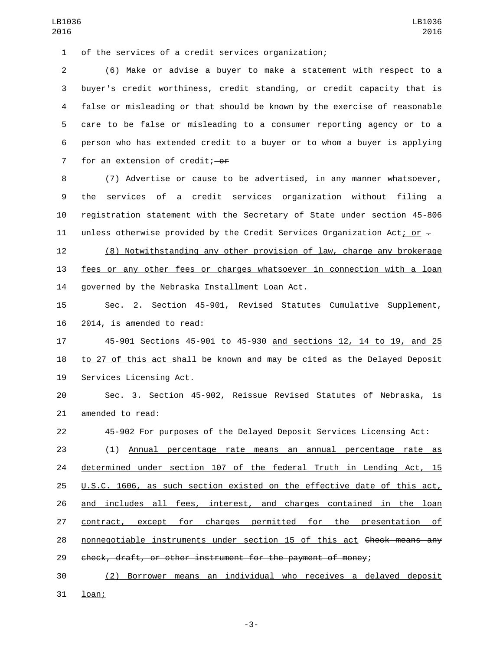of the services of a credit services organization;1

 (6) Make or advise a buyer to make a statement with respect to a buyer's credit worthiness, credit standing, or credit capacity that is false or misleading or that should be known by the exercise of reasonable care to be false or misleading to a consumer reporting agency or to a person who has extended credit to a buyer or to whom a buyer is applying 7 for an extension of credit; $-0f$ 

 (7) Advertise or cause to be advertised, in any manner whatsoever, the services of a credit services organization without filing a registration statement with the Secretary of State under section 45-806 11 unless otherwise provided by the Credit Services Organization Act; or  $\overline{z}$ 

 (8) Notwithstanding any other provision of law, charge any brokerage fees or any other fees or charges whatsoever in connection with a loan 14 governed by the Nebraska Installment Loan Act.

 Sec. 2. Section 45-901, Revised Statutes Cumulative Supplement, 2014, is amended to read:

 45-901 Sections 45-901 to 45-930 and sections 12, 14 to 19, and 25 to 27 of this act shall be known and may be cited as the Delayed Deposit 19 Services Licensing Act.

 Sec. 3. Section 45-902, Reissue Revised Statutes of Nebraska, is 21 amended to read:

45-902 For purposes of the Delayed Deposit Services Licensing Act:

 (1) Annual percentage rate means an annual percentage rate as determined under section 107 of the federal Truth in Lending Act, 15 U.S.C. 1606, as such section existed on the effective date of this act, and includes all fees, interest, and charges contained in the loan contract, except for charges permitted for the presentation of nonnegotiable instruments under section 15 of this act Check means any check, draft, or other instrument for the payment of money;

 (2) Borrower means an individual who receives a delayed deposit 31 loan;

-3-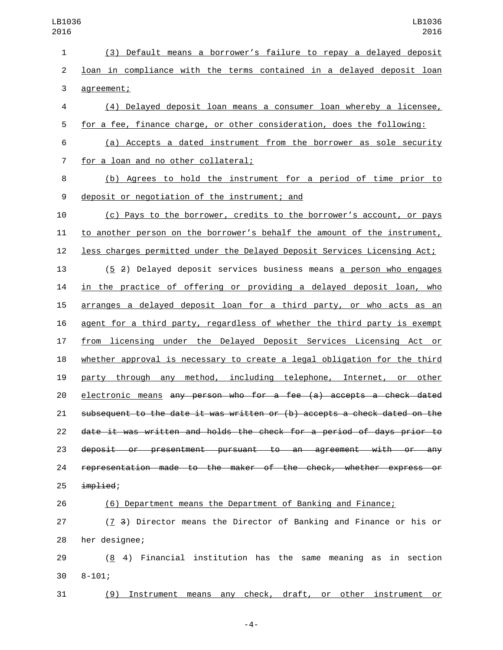| $\mathbf{1}$   | (3) Default means a borrower's failure to repay a delayed deposit         |
|----------------|---------------------------------------------------------------------------|
| $\overline{2}$ | loan in compliance with the terms contained in a delayed deposit loan     |
| 3              | agreement;                                                                |
| 4              | (4) Delayed deposit loan means a consumer loan whereby a licensee,        |
| 5              | for a fee, finance charge, or other consideration, does the following:    |
| 6              | (a) Accepts a dated instrument from the borrower as sole security         |
| 7              | for a loan and no other collateral;                                       |
| 8              | (b) Agrees to hold the instrument for a period of time prior to           |
| 9              | deposit or negotiation of the instrument; and                             |
| 10             | (c) Pays to the borrower, credits to the borrower's account, or pays      |
| 11             | to another person on the borrower's behalf the amount of the instrument,  |
| 12             | less charges permitted under the Delayed Deposit Services Licensing Act;  |
| 13             | (5 2) Delayed deposit services business means a person who engages        |
| 14             | in the practice of offering or providing a delayed deposit loan, who      |
| 15             | arranges a delayed deposit loan for a third party, or who acts as an      |
| 16             | agent for a third party, regardless of whether the third party is exempt  |
| 17             | from licensing under the Delayed Deposit Services Licensing Act or        |
| 18             | whether approval is necessary to create a legal obligation for the third  |
| 19             | party through any method, including telephone, Internet, or other         |
| 20             | electronic means any person who for a fee (a) accepts a check dated       |
| 21             | subsequent to the date it was written or (b) accepts a check dated on the |
| 22             | date it was written and holds the check for a period of days prior to     |
| 23             | deposit or presentment pursuant to an agreement with or any               |
| 24             | representation made to the maker of the check, whether express or         |
| 25             | implied;                                                                  |
| 26             | (6) Department means the Department of Banking and Finance;               |
| 27             | (7 3) Director means the Director of Banking and Finance or his or        |

28 her designee;

29  $(8, 4)$  Financial institution has the same meaning as in section 30 8-101;

(9) Instrument means any check, draft, or other instrument or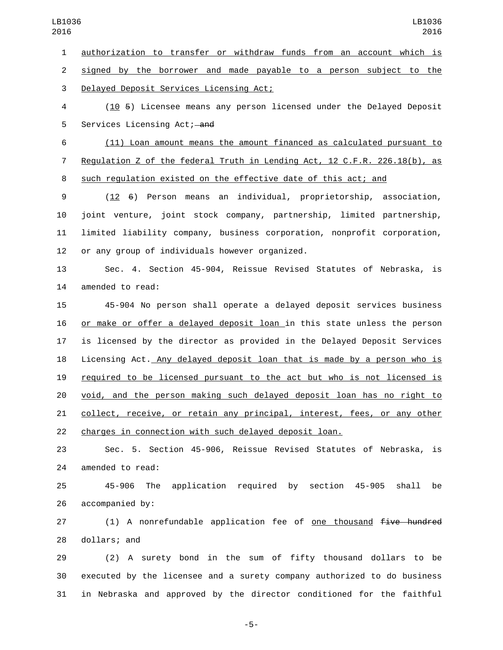authorization to transfer or withdraw funds from an account which is

 signed by the borrower and made payable to a person subject to the 3 Delayed Deposit Services Licensing Act;

 (10 5) Licensee means any person licensed under the Delayed Deposit 5 Services Licensing Act; and

 (11) Loan amount means the amount financed as calculated pursuant to Regulation Z of the federal Truth in Lending Act, 12 C.F.R. 226.18(b), as such regulation existed on the effective date of this act; and

 (12 6) Person means an individual, proprietorship, association, joint venture, joint stock company, partnership, limited partnership, limited liability company, business corporation, nonprofit corporation, 12 or any group of individuals however organized.

 Sec. 4. Section 45-904, Reissue Revised Statutes of Nebraska, is 14 amended to read:

 45-904 No person shall operate a delayed deposit services business or make or offer a delayed deposit loan in this state unless the person is licensed by the director as provided in the Delayed Deposit Services Licensing Act. Any delayed deposit loan that is made by a person who is required to be licensed pursuant to the act but who is not licensed is void, and the person making such delayed deposit loan has no right to 21 collect, receive, or retain any principal, interest, fees, or any other charges in connection with such delayed deposit loan.

 Sec. 5. Section 45-906, Reissue Revised Statutes of Nebraska, is 24 amended to read:

 45-906 The application required by section 45-905 shall be 26 accompanied by:

27 (1) A nonrefundable application fee of <u>one thousand</u> five hundred 28 dollars; and

 (2) A surety bond in the sum of fifty thousand dollars to be executed by the licensee and a surety company authorized to do business in Nebraska and approved by the director conditioned for the faithful

-5-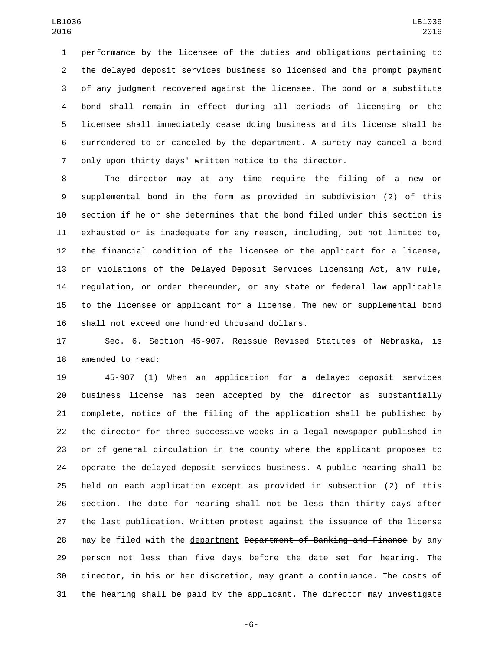performance by the licensee of the duties and obligations pertaining to the delayed deposit services business so licensed and the prompt payment of any judgment recovered against the licensee. The bond or a substitute bond shall remain in effect during all periods of licensing or the licensee shall immediately cease doing business and its license shall be surrendered to or canceled by the department. A surety may cancel a bond only upon thirty days' written notice to the director.

 The director may at any time require the filing of a new or supplemental bond in the form as provided in subdivision (2) of this section if he or she determines that the bond filed under this section is exhausted or is inadequate for any reason, including, but not limited to, the financial condition of the licensee or the applicant for a license, or violations of the Delayed Deposit Services Licensing Act, any rule, regulation, or order thereunder, or any state or federal law applicable to the licensee or applicant for a license. The new or supplemental bond 16 shall not exceed one hundred thousand dollars.

 Sec. 6. Section 45-907, Reissue Revised Statutes of Nebraska, is 18 amended to read:

 45-907 (1) When an application for a delayed deposit services business license has been accepted by the director as substantially complete, notice of the filing of the application shall be published by the director for three successive weeks in a legal newspaper published in or of general circulation in the county where the applicant proposes to operate the delayed deposit services business. A public hearing shall be held on each application except as provided in subsection (2) of this section. The date for hearing shall not be less than thirty days after the last publication. Written protest against the issuance of the license 28 may be filed with the department Department of Banking and Finance by any person not less than five days before the date set for hearing. The director, in his or her discretion, may grant a continuance. The costs of the hearing shall be paid by the applicant. The director may investigate

-6-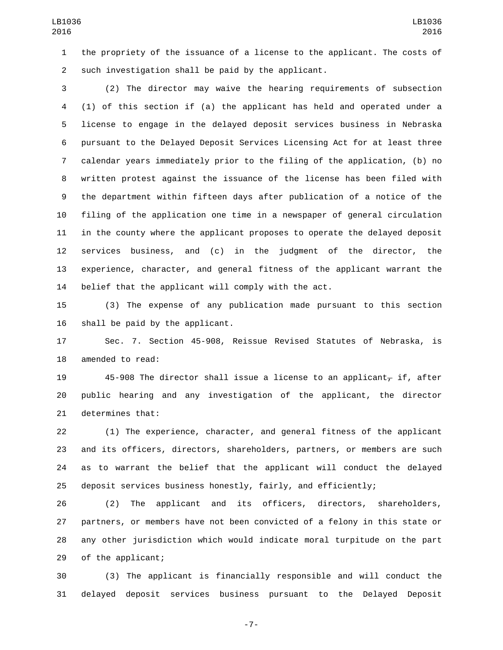the propriety of the issuance of a license to the applicant. The costs of 2 such investigation shall be paid by the applicant.

 (2) The director may waive the hearing requirements of subsection (1) of this section if (a) the applicant has held and operated under a license to engage in the delayed deposit services business in Nebraska pursuant to the Delayed Deposit Services Licensing Act for at least three calendar years immediately prior to the filing of the application, (b) no written protest against the issuance of the license has been filed with the department within fifteen days after publication of a notice of the filing of the application one time in a newspaper of general circulation in the county where the applicant proposes to operate the delayed deposit services business, and (c) in the judgment of the director, the experience, character, and general fitness of the applicant warrant the belief that the applicant will comply with the act.

 (3) The expense of any publication made pursuant to this section 16 shall be paid by the applicant.

 Sec. 7. Section 45-908, Reissue Revised Statutes of Nebraska, is 18 amended to read:

19 45-908 The director shall issue a license to an applicant, if, after public hearing and any investigation of the applicant, the director 21 determines that:

 (1) The experience, character, and general fitness of the applicant and its officers, directors, shareholders, partners, or members are such as to warrant the belief that the applicant will conduct the delayed deposit services business honestly, fairly, and efficiently;

 (2) The applicant and its officers, directors, shareholders, partners, or members have not been convicted of a felony in this state or any other jurisdiction which would indicate moral turpitude on the part 29 of the applicant;

 (3) The applicant is financially responsible and will conduct the delayed deposit services business pursuant to the Delayed Deposit

-7-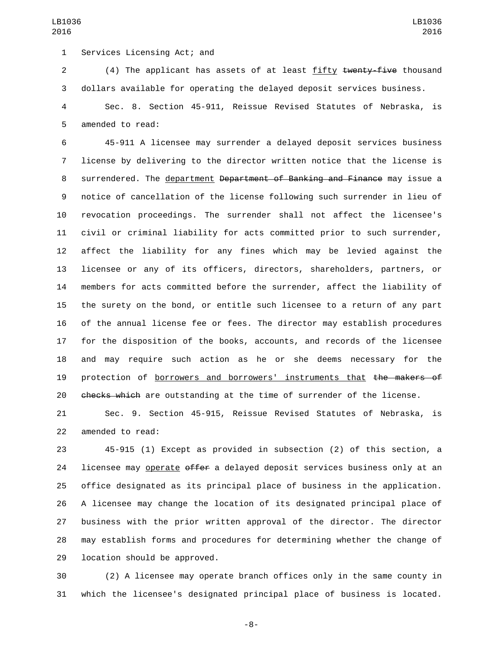1 Services Licensing Act; and

2 (4) The applicant has assets of at least fifty twenty-five thousand dollars available for operating the delayed deposit services business.

 Sec. 8. Section 45-911, Reissue Revised Statutes of Nebraska, is 5 amended to read:

 45-911 A licensee may surrender a delayed deposit services business license by delivering to the director written notice that the license is 8 surrendered. The department <del>Department of Banking and Finance</del> may issue a notice of cancellation of the license following such surrender in lieu of revocation proceedings. The surrender shall not affect the licensee's civil or criminal liability for acts committed prior to such surrender, affect the liability for any fines which may be levied against the licensee or any of its officers, directors, shareholders, partners, or members for acts committed before the surrender, affect the liability of the surety on the bond, or entitle such licensee to a return of any part of the annual license fee or fees. The director may establish procedures for the disposition of the books, accounts, and records of the licensee and may require such action as he or she deems necessary for the 19 protection of borrowers and borrowers' instruments that the makers of 20 checks which are outstanding at the time of surrender of the license.

 Sec. 9. Section 45-915, Reissue Revised Statutes of Nebraska, is 22 amended to read:

 45-915 (1) Except as provided in subsection (2) of this section, a 24 licensee may operate offer a delayed deposit services business only at an office designated as its principal place of business in the application. A licensee may change the location of its designated principal place of business with the prior written approval of the director. The director may establish forms and procedures for determining whether the change of 29 location should be approved.

 (2) A licensee may operate branch offices only in the same county in which the licensee's designated principal place of business is located.

-8-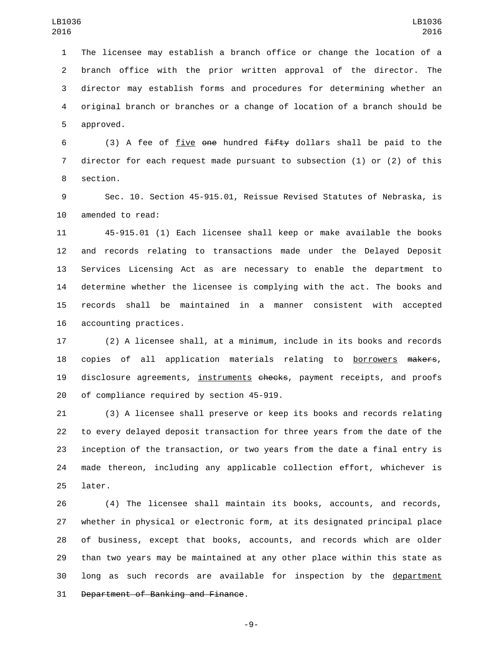The licensee may establish a branch office or change the location of a branch office with the prior written approval of the director. The director may establish forms and procedures for determining whether an original branch or branches or a change of location of a branch should be 5 approved.

6 (3) A fee of five one hundred  $f$ ifty dollars shall be paid to the director for each request made pursuant to subsection (1) or (2) of this 8 section.

 Sec. 10. Section 45-915.01, Reissue Revised Statutes of Nebraska, is 10 amended to read:

 45-915.01 (1) Each licensee shall keep or make available the books and records relating to transactions made under the Delayed Deposit Services Licensing Act as are necessary to enable the department to determine whether the licensee is complying with the act. The books and records shall be maintained in a manner consistent with accepted 16 accounting practices.

 (2) A licensee shall, at a minimum, include in its books and records 18 copies of all application materials relating to **borrowers** makers, 19 disclosure agreements, instruments checks, payment receipts, and proofs 20 of compliance required by section 45-919.

 (3) A licensee shall preserve or keep its books and records relating to every delayed deposit transaction for three years from the date of the inception of the transaction, or two years from the date a final entry is made thereon, including any applicable collection effort, whichever is 25 later.

 (4) The licensee shall maintain its books, accounts, and records, whether in physical or electronic form, at its designated principal place of business, except that books, accounts, and records which are older than two years may be maintained at any other place within this state as 30 long as such records are available for inspection by the department 31 Department of Banking and Finance.

-9-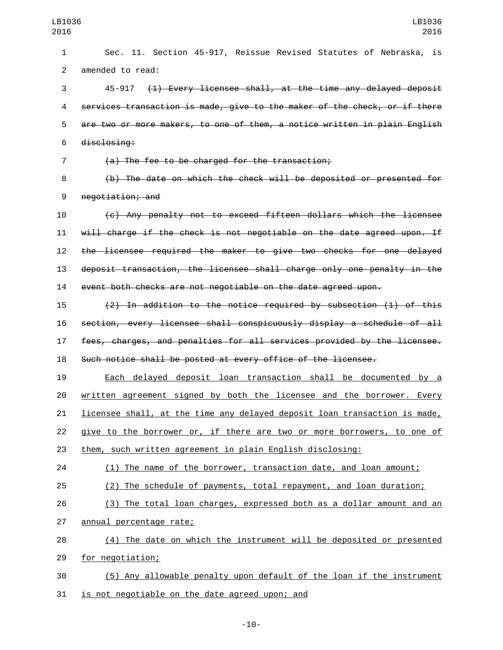Sec. 11. Section 45-917, Reissue Revised Statutes of Nebraska, is 2 amended to read: 45-917 (1) Every licensee shall, at the time any delayed deposit services transaction is made, give to the maker of the check, or if there are two or more makers, to one of them, a notice written in plain English 6 disclosing: (a) The fee to be charged for the transaction; (b) The date on which the check will be deposited or presented for 9 negotiation; and (c) Any penalty not to exceed fifteen dollars which the licensee will charge if the check is not negotiable on the date agreed upon. If the licensee required the maker to give two checks for one delayed deposit transaction, the licensee shall charge only one penalty in the event both checks are not negotiable on the date agreed upon. (2) In addition to the notice required by subsection (1) of this section, every licensee shall conspicuously display a schedule of all fees, charges, and penalties for all services provided by the licensee. Such notice shall be posted at every office of the licensee. Each delayed deposit loan transaction shall be documented by a written agreement signed by both the licensee and the borrower. Every licensee shall, at the time any delayed deposit loan transaction is made, give to the borrower or, if there are two or more borrowers, to one of them, such written agreement in plain English disclosing: (1) The name of the borrower, transaction date, and loan amount; (2) The schedule of payments, total repayment, and loan duration; (3) The total loan charges, expressed both as a dollar amount and an 27 annual percentage rate; (4) The date on which the instrument will be deposited or presented 29 for negotiation; (5) Any allowable penalty upon default of the loan if the instrument

31 is not negotiable on the date agreed upon; and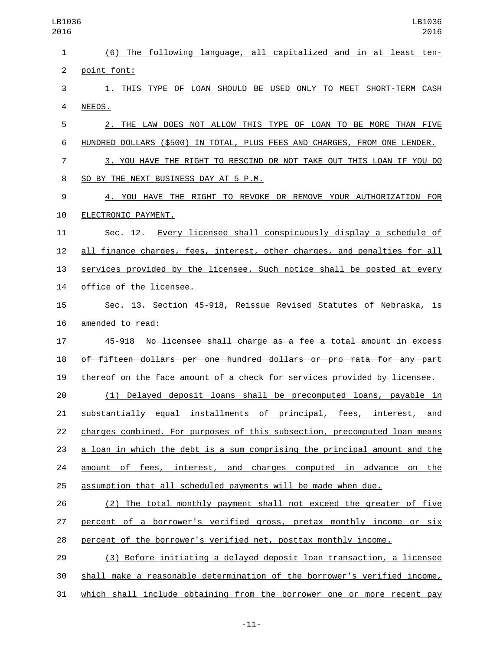(6) The following language, all capitalized and in at least ten-2 point font: 1. THIS TYPE OF LOAN SHOULD BE USED ONLY TO MEET SHORT-TERM CASH 4 NEEDS. 2. THE LAW DOES NOT ALLOW THIS TYPE OF LOAN TO BE MORE THAN FIVE HUNDRED DOLLARS (\$500) IN TOTAL, PLUS FEES AND CHARGES, FROM ONE LENDER. 3. YOU HAVE THE RIGHT TO RESCIND OR NOT TAKE OUT THIS LOAN IF YOU DO SO BY THE NEXT BUSINESS DAY AT 5 P.M.8 4. YOU HAVE THE RIGHT TO REVOKE OR REMOVE YOUR AUTHORIZATION FOR **ELECTRONIC PAYMENT.**  Sec. 12. Every licensee shall conspicuously display a schedule of all finance charges, fees, interest, other charges, and penalties for all services provided by the licensee. Such notice shall be posted at every 14 office of the licensee. Sec. 13. Section 45-918, Reissue Revised Statutes of Nebraska, is 16 amended to read: 45-918 No licensee shall charge as a fee a total amount in excess of fifteen dollars per one hundred dollars or pro rata for any part thereof on the face amount of a check for services provided by licensee. (1) Delayed deposit loans shall be precomputed loans, payable in substantially equal installments of principal, fees, interest, and charges combined. For purposes of this subsection, precomputed loan means a loan in which the debt is a sum comprising the principal amount and the amount of fees, interest, and charges computed in advance on the assumption that all scheduled payments will be made when due. (2) The total monthly payment shall not exceed the greater of five percent of a borrower's verified gross, pretax monthly income or six percent of the borrower's verified net, posttax monthly income. (3) Before initiating a delayed deposit loan transaction, a licensee shall make a reasonable determination of the borrower's verified income, which shall include obtaining from the borrower one or more recent pay LB1036 LB1036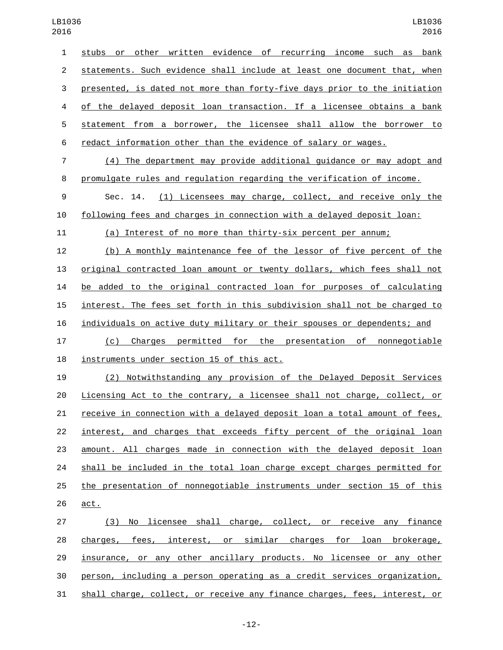| ס⊥ט            | 2010                                                                      |
|----------------|---------------------------------------------------------------------------|
| $\mathbf{1}$   | stubs or other written evidence of recurring income such as bank          |
| $\overline{2}$ | statements. Such evidence shall include at least one document that, when  |
| 3              | presented, is dated not more than forty-five days prior to the initiation |
| 4              | of the delayed deposit loan transaction. If a licensee obtains a bank     |
| 5              | statement from a borrower, the licensee shall allow the borrower to       |
| 6              | redact information other than the evidence of salary or wages.            |
| $\overline{7}$ | (4) The department may provide additional guidance or may adopt and       |
| 8              | promulgate rules and regulation regarding the verification of income.     |
| 9              | (1) Licensees may charge, collect, and receive only the<br>Sec. 14.       |
| 10             | following fees and charges in connection with a delayed deposit loan:     |
| 11             | (a) Interest of no more than thirty-six percent per annum;                |
| 12             | (b) A monthly maintenance fee of the lessor of five percent of the        |
| 13             | original contracted loan amount or twenty dollars, which fees shall not   |
| 14             | be added to the original contracted loan for purposes of calculating      |
| 15             | interest. The fees set forth in this subdivision shall not be charged to  |
| 16             | individuals on active duty military or their spouses or dependents; and   |
| 17             | (c) Charges permitted for the presentation of nonnegotiable               |
| 18             | instruments under section 15 of this act.                                 |
| 19             | Notwithstanding any provision of the Delayed Deposit Services<br>(2)      |
| 20             | Licensing Act to the contrary, a licensee shall not charge, collect, or   |
| 21             | receive in connection with a delayed deposit loan a total amount of fees, |

26 act. (3) No licensee shall charge, collect, or receive any finance charges, fees, interest, or similar charges for loan brokerage, insurance, or any other ancillary products. No licensee or any other person, including a person operating as a credit services organization, shall charge, collect, or receive any finance charges, fees, interest, or

22 interest, and charges that exceeds fifty percent of the original loan

amount. All charges made in connection with the delayed deposit loan

shall be included in the total loan charge except charges permitted for

the presentation of nonnegotiable instruments under section 15 of this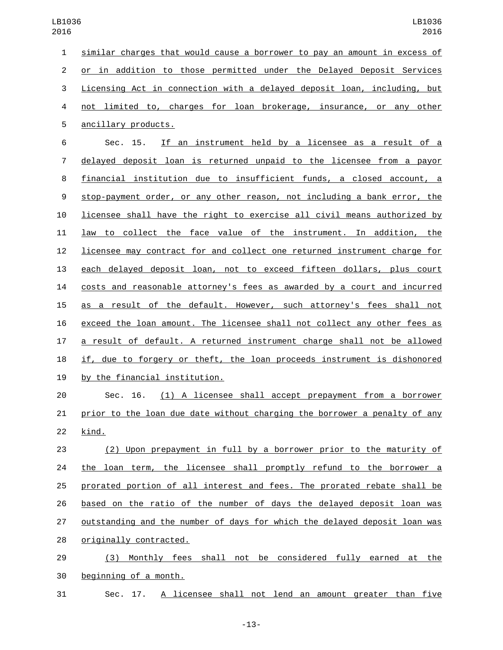similar charges that would cause a borrower to pay an amount in excess of or in addition to those permitted under the Delayed Deposit Services Licensing Act in connection with a delayed deposit loan, including, but not limited to, charges for loan brokerage, insurance, or any other 5 ancillary products. Sec. 15. If an instrument held by a licensee as a result of a delayed deposit loan is returned unpaid to the licensee from a payor financial institution due to insufficient funds, a closed account, a stop-payment order, or any other reason, not including a bank error, the licensee shall have the right to exercise all civil means authorized by law to collect the face value of the instrument. In addition, the licensee may contract for and collect one returned instrument charge for each delayed deposit loan, not to exceed fifteen dollars, plus court costs and reasonable attorney's fees as awarded by a court and incurred as a result of the default. However, such attorney's fees shall not exceed the loan amount. The licensee shall not collect any other fees as a result of default. A returned instrument charge shall not be allowed if, due to forgery or theft, the loan proceeds instrument is dishonored 19 by the financial institution. Sec. 16. (1) A licensee shall accept prepayment from a borrower prior to the loan due date without charging the borrower a penalty of any

22 kind.

 (2) Upon prepayment in full by a borrower prior to the maturity of 24 the loan term, the licensee shall promptly refund to the borrower a prorated portion of all interest and fees. The prorated rebate shall be based on the ratio of the number of days the delayed deposit loan was outstanding and the number of days for which the delayed deposit loan was 28 originally contracted.

 (3) Monthly fees shall not be considered fully earned at the 30 beginning of a month.

Sec. 17. A licensee shall not lend an amount greater than five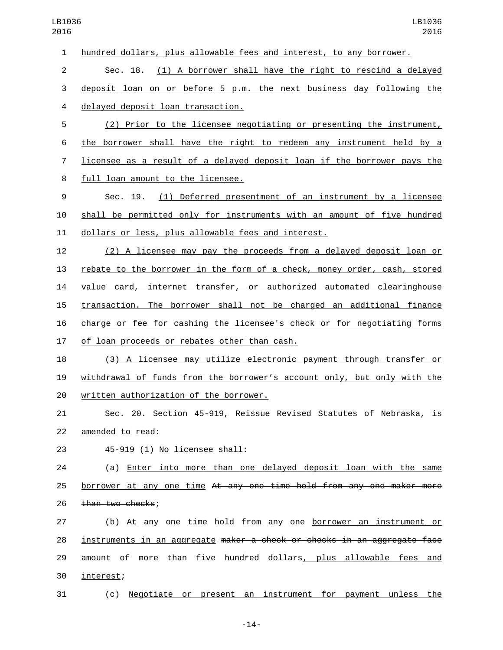| $\mathbf 1$ | hundred dollars, plus allowable fees and interest, to any borrower.      |
|-------------|--------------------------------------------------------------------------|
| 2           | Sec. 18. (1) A borrower shall have the right to rescind a delayed        |
| 3           | deposit loan on or before 5 p.m. the next business day following the     |
| 4           | delayed deposit loan transaction.                                        |
| 5           | (2) Prior to the licensee negotiating or presenting the instrument,      |
| 6           | the borrower shall have the right to redeem any instrument held by a     |
| 7           | licensee as a result of a delayed deposit loan if the borrower pays the  |
| 8           | full loan amount to the licensee.                                        |
| 9           | Sec. 19.<br>(1) Deferred presentment of an instrument by a licensee      |
| 10          | shall be permitted only for instruments with an amount of five hundred   |
| 11          | dollars or less, plus allowable fees and interest.                       |
| 12          | (2) A licensee may pay the proceeds from a delayed deposit loan or       |
| 13          | rebate to the borrower in the form of a check, money order, cash, stored |
| 14          | value card, internet transfer, or authorized automated clearinghouse     |
| 15          | transaction. The borrower shall not be charged an additional finance     |
| 16          | charge or fee for cashing the licensee's check or for negotiating forms  |
| 17          | of loan proceeds or rebates other than cash.                             |
| 18          | (3) A licensee may utilize electronic payment through transfer or        |
| 19          | withdrawal of funds from the borrower's account only, but only with the  |
| 20          | written authorization of the borrower.                                   |
| 21          | Sec. 20. Section 45-919, Reissue Revised Statutes of Nebraska, is        |
| 22          | amended to read:                                                         |
| 23          | 45-919 (1) No licensee shall:                                            |
| 24          | (a) Enter into more than one delayed deposit loan with the same          |
| 25          | borrower at any one time At any one time hold from any one maker more    |
| 26          | than two checks;                                                         |
| 27          | (b) At any one time hold from any one borrower an instrument or          |
| 28          | instruments in an aggregate maker a check or checks in an aggregate face |
| 29          | amount of more than five hundred dollars, plus allowable fees and        |
| 30          | interest;                                                                |
|             |                                                                          |

(c) Negotiate or present an instrument for payment unless the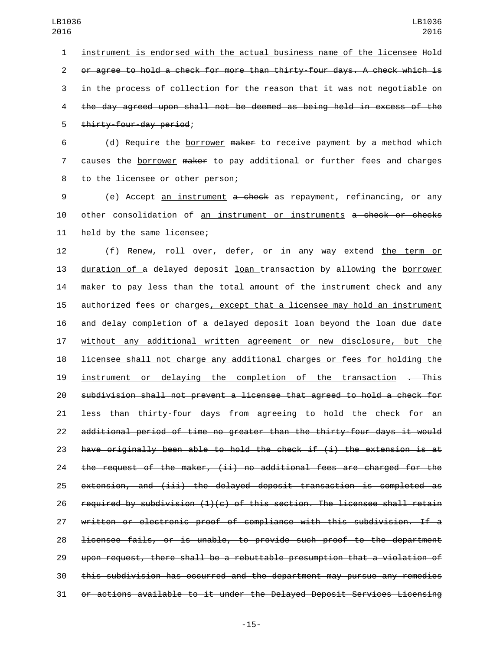1 instrument is endorsed with the actual business name of the licensee Hold or agree to hold a check for more than thirty-four days. A check which is in the process of collection for the reason that it was not negotiable on the day agreed upon shall not be deemed as being held in excess of the 5 thirty-four-day period;

 (d) Require the borrower maker to receive payment by a method which causes the borrower maker to pay additional or further fees and charges 8 to the licensee or other person;

 (e) Accept an instrument a check as repayment, refinancing, or any 10 other consolidation of an instrument or instruments a check or checks 11 held by the same licensee;

 (f) Renew, roll over, defer, or in any way extend the term or duration of a delayed deposit loan transaction by allowing the borrower 14 maker to pay less than the total amount of the instrument check and any authorized fees or charges, except that a licensee may hold an instrument and delay completion of a delayed deposit loan beyond the loan due date without any additional written agreement or new disclosure, but the licensee shall not charge any additional charges or fees for holding the 19 instrument or delaying the completion of the transaction . This subdivision shall not prevent a licensee that agreed to hold a check for less than thirty-four days from agreeing to hold the check for an additional period of time no greater than the thirty-four days it would 23 have originally been able to hold the check if  $(i)$  the extension is at the request of the maker, (ii) no additional fees are charged for the extension, and (iii) the delayed deposit transaction is completed as 26 required by subdivision  $(1)(c)$  of this section. The licensee shall retain written or electronic proof of compliance with this subdivision. If a licensee fails, or is unable, to provide such proof to the department upon request, there shall be a rebuttable presumption that a violation of this subdivision has occurred and the department may pursue any remedies or actions available to it under the Delayed Deposit Services Licensing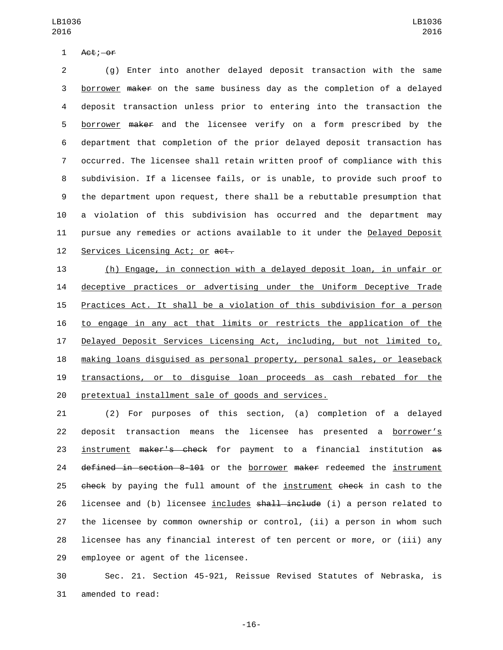1 Act; -or

 (g) Enter into another delayed deposit transaction with the same borrower maker on the same business day as the completion of a delayed deposit transaction unless prior to entering into the transaction the borrower maker and the licensee verify on a form prescribed by the department that completion of the prior delayed deposit transaction has occurred. The licensee shall retain written proof of compliance with this subdivision. If a licensee fails, or is unable, to provide such proof to the department upon request, there shall be a rebuttable presumption that a violation of this subdivision has occurred and the department may 11 pursue any remedies or actions available to it under the Delayed Deposit 12 Services Licensing Act; or act.

 (h) Engage, in connection with a delayed deposit loan, in unfair or deceptive practices or advertising under the Uniform Deceptive Trade Practices Act. It shall be a violation of this subdivision for a person to engage in any act that limits or restricts the application of the Delayed Deposit Services Licensing Act, including, but not limited to, making loans disguised as personal property, personal sales, or leaseback transactions, or to disguise loan proceeds as cash rebated for the pretextual installment sale of goods and services.

 (2) For purposes of this section, (a) completion of a delayed deposit transaction means the licensee has presented a borrower's instrument maker's check for payment to a financial institution as 24 defined in section 8-101 or the borrower maker redeemed the instrument 25 check by paying the full amount of the instrument check in cash to the 26 licensee and (b) licensee includes shall include (i) a person related to the licensee by common ownership or control, (ii) a person in whom such licensee has any financial interest of ten percent or more, or (iii) any 29 employee or agent of the licensee.

 Sec. 21. Section 45-921, Reissue Revised Statutes of Nebraska, is 31 amended to read:

-16-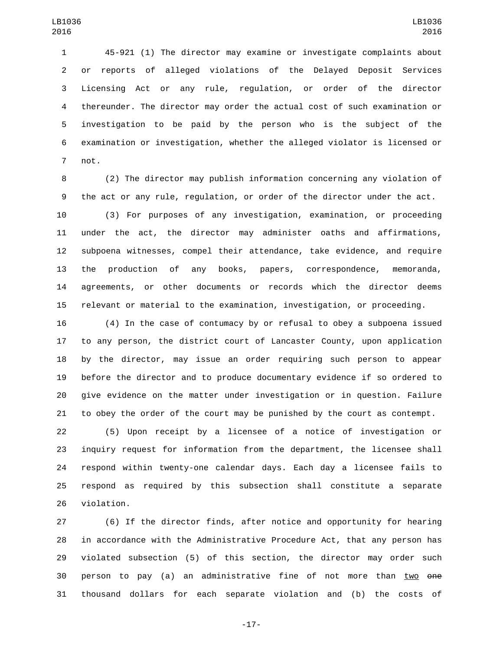45-921 (1) The director may examine or investigate complaints about or reports of alleged violations of the Delayed Deposit Services Licensing Act or any rule, regulation, or order of the director thereunder. The director may order the actual cost of such examination or investigation to be paid by the person who is the subject of the examination or investigation, whether the alleged violator is licensed or 7 not.

 (2) The director may publish information concerning any violation of the act or any rule, regulation, or order of the director under the act. (3) For purposes of any investigation, examination, or proceeding under the act, the director may administer oaths and affirmations, subpoena witnesses, compel their attendance, take evidence, and require the production of any books, papers, correspondence, memoranda, agreements, or other documents or records which the director deems relevant or material to the examination, investigation, or proceeding.

 (4) In the case of contumacy by or refusal to obey a subpoena issued to any person, the district court of Lancaster County, upon application by the director, may issue an order requiring such person to appear before the director and to produce documentary evidence if so ordered to give evidence on the matter under investigation or in question. Failure to obey the order of the court may be punished by the court as contempt.

 (5) Upon receipt by a licensee of a notice of investigation or inquiry request for information from the department, the licensee shall respond within twenty-one calendar days. Each day a licensee fails to respond as required by this subsection shall constitute a separate 26 violation.

 (6) If the director finds, after notice and opportunity for hearing in accordance with the Administrative Procedure Act, that any person has violated subsection (5) of this section, the director may order such person to pay (a) an administrative fine of not more than two one thousand dollars for each separate violation and (b) the costs of

-17-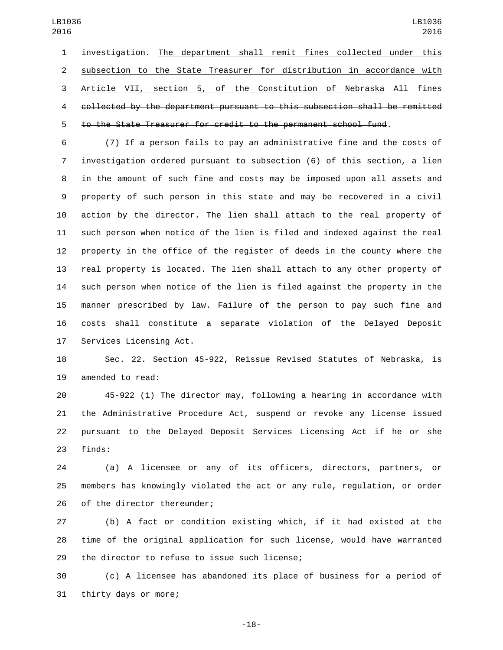investigation. The department shall remit fines collected under this subsection to the State Treasurer for distribution in accordance with Article VII, section 5, of the Constitution of Nebraska All fines collected by the department pursuant to this subsection shall be remitted to the State Treasurer for credit to the permanent school fund.

 (7) If a person fails to pay an administrative fine and the costs of investigation ordered pursuant to subsection (6) of this section, a lien in the amount of such fine and costs may be imposed upon all assets and property of such person in this state and may be recovered in a civil action by the director. The lien shall attach to the real property of such person when notice of the lien is filed and indexed against the real property in the office of the register of deeds in the county where the real property is located. The lien shall attach to any other property of such person when notice of the lien is filed against the property in the manner prescribed by law. Failure of the person to pay such fine and costs shall constitute a separate violation of the Delayed Deposit 17 Services Licensing Act.

 Sec. 22. Section 45-922, Reissue Revised Statutes of Nebraska, is 19 amended to read:

 45-922 (1) The director may, following a hearing in accordance with the Administrative Procedure Act, suspend or revoke any license issued pursuant to the Delayed Deposit Services Licensing Act if he or she 23 finds:

 (a) A licensee or any of its officers, directors, partners, or members has knowingly violated the act or any rule, regulation, or order 26 of the director thereunder;

 (b) A fact or condition existing which, if it had existed at the time of the original application for such license, would have warranted 29 the director to refuse to issue such license;

 (c) A licensee has abandoned its place of business for a period of 31 thirty days or more;

-18-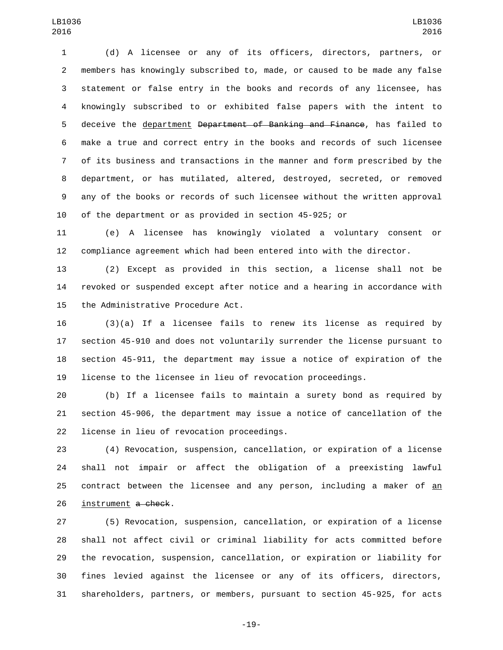(d) A licensee or any of its officers, directors, partners, or members has knowingly subscribed to, made, or caused to be made any false statement or false entry in the books and records of any licensee, has knowingly subscribed to or exhibited false papers with the intent to 5 deceive the department <del>Department of Banking and Finance</del>, has failed to make a true and correct entry in the books and records of such licensee of its business and transactions in the manner and form prescribed by the department, or has mutilated, altered, destroyed, secreted, or removed any of the books or records of such licensee without the written approval of the department or as provided in section 45-925; or

 (e) A licensee has knowingly violated a voluntary consent or compliance agreement which had been entered into with the director.

 (2) Except as provided in this section, a license shall not be revoked or suspended except after notice and a hearing in accordance with 15 the Administrative Procedure Act.

 (3)(a) If a licensee fails to renew its license as required by section 45-910 and does not voluntarily surrender the license pursuant to section 45-911, the department may issue a notice of expiration of the license to the licensee in lieu of revocation proceedings.

 (b) If a licensee fails to maintain a surety bond as required by section 45-906, the department may issue a notice of cancellation of the 22 license in lieu of revocation proceedings.

 (4) Revocation, suspension, cancellation, or expiration of a license shall not impair or affect the obligation of a preexisting lawful contract between the licensee and any person, including a maker of an 26 instrument a check.

 (5) Revocation, suspension, cancellation, or expiration of a license shall not affect civil or criminal liability for acts committed before the revocation, suspension, cancellation, or expiration or liability for fines levied against the licensee or any of its officers, directors, shareholders, partners, or members, pursuant to section 45-925, for acts

-19-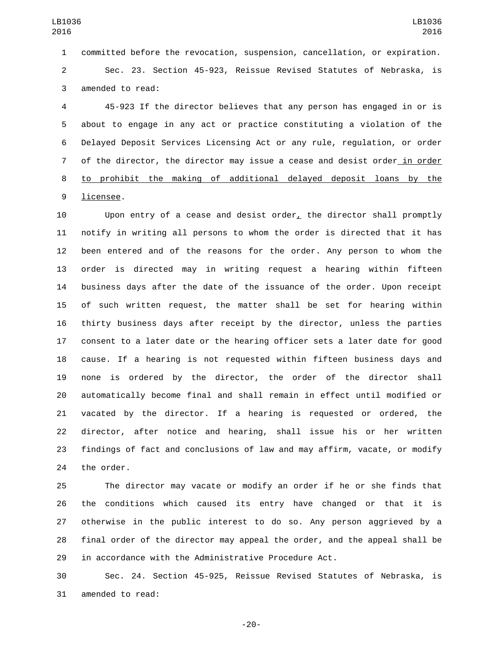committed before the revocation, suspension, cancellation, or expiration.

 Sec. 23. Section 45-923, Reissue Revised Statutes of Nebraska, is 3 amended to read:

 45-923 If the director believes that any person has engaged in or is about to engage in any act or practice constituting a violation of the Delayed Deposit Services Licensing Act or any rule, regulation, or order 7 of the director, the director may issue a cease and desist order in order to prohibit the making of additional delayed deposit loans by the 9 licensee.

 Upon entry of a cease and desist order, the director shall promptly notify in writing all persons to whom the order is directed that it has been entered and of the reasons for the order. Any person to whom the order is directed may in writing request a hearing within fifteen business days after the date of the issuance of the order. Upon receipt of such written request, the matter shall be set for hearing within thirty business days after receipt by the director, unless the parties consent to a later date or the hearing officer sets a later date for good cause. If a hearing is not requested within fifteen business days and none is ordered by the director, the order of the director shall automatically become final and shall remain in effect until modified or vacated by the director. If a hearing is requested or ordered, the director, after notice and hearing, shall issue his or her written findings of fact and conclusions of law and may affirm, vacate, or modify 24 the order.

 The director may vacate or modify an order if he or she finds that the conditions which caused its entry have changed or that it is otherwise in the public interest to do so. Any person aggrieved by a final order of the director may appeal the order, and the appeal shall be in accordance with the Administrative Procedure Act.

 Sec. 24. Section 45-925, Reissue Revised Statutes of Nebraska, is 31 amended to read:

-20-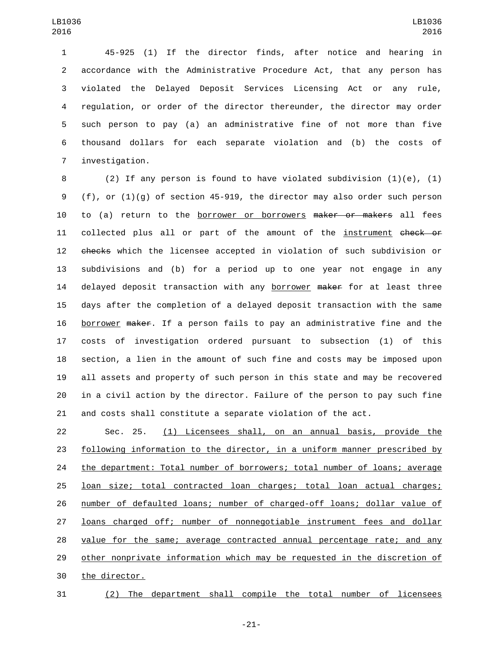45-925 (1) If the director finds, after notice and hearing in accordance with the Administrative Procedure Act, that any person has violated the Delayed Deposit Services Licensing Act or any rule, regulation, or order of the director thereunder, the director may order such person to pay (a) an administrative fine of not more than five thousand dollars for each separate violation and (b) the costs of 7 investigation.

 (2) If any person is found to have violated subdivision (1)(e), (1) (f), or (1)(g) of section 45-919, the director may also order such person 10 to (a) return to the borrower or borrowers maker or makers all fees 11 collected plus all or part of the amount of the instrument check or checks which the licensee accepted in violation of such subdivision or subdivisions and (b) for a period up to one year not engage in any 14 delayed deposit transaction with any borrower maker for at least three days after the completion of a delayed deposit transaction with the same borrower maker. If a person fails to pay an administrative fine and the costs of investigation ordered pursuant to subsection (1) of this section, a lien in the amount of such fine and costs may be imposed upon all assets and property of such person in this state and may be recovered in a civil action by the director. Failure of the person to pay such fine and costs shall constitute a separate violation of the act.

 Sec. 25. (1) Licensees shall, on an annual basis, provide the following information to the director, in a uniform manner prescribed by the department: Total number of borrowers; total number of loans; average loan size; total contracted loan charges; total loan actual charges; number of defaulted loans; number of charged-off loans; dollar value of loans charged off; number of nonnegotiable instrument fees and dollar value for the same; average contracted annual percentage rate; and any 29 other nonprivate information which may be requested in the discretion of 30 the director.

(2) The department shall compile the total number of licensees

-21-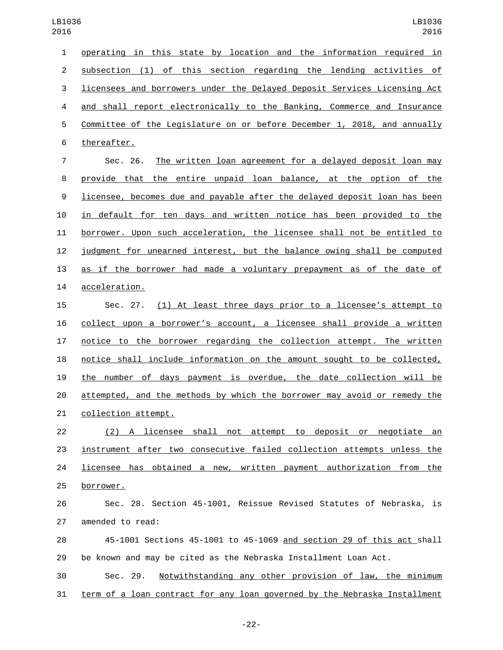| 1              | operating in this state by location and the information required in       |
|----------------|---------------------------------------------------------------------------|
| $\overline{c}$ | subsection (1) of this section regarding the lending activities of        |
| 3              | licensees and borrowers under the Delayed Deposit Services Licensing Act  |
| 4              | and shall report electronically to the Banking, Commerce and Insurance    |
| 5              | Committee of the Legislature on or before December 1, 2018, and annually  |
| 6              | thereafter.                                                               |
| 7              | The written loan agreement for a delayed deposit loan may<br>Sec. 26.     |
| 8              | provide that the entire unpaid loan balance, at the option of the         |
| $9\,$          | licensee, becomes due and payable after the delayed deposit loan has been |
| 10             | in default for ten days and written notice has been provided to the       |
| 11             | borrower. Upon such acceleration, the licensee shall not be entitled to   |
| 12             | judgment for unearned interest, but the balance owing shall be computed   |
| 13             | as if the borrower had made a voluntary prepayment as of the date of      |
| 14             | acceleration.                                                             |
| 15             | (1) At least three days prior to a licensee's attempt to<br>Sec. 27.      |
| 16             | collect upon a borrower's account, a licensee shall provide a written     |
| 17             | notice to the borrower regarding the collection attempt. The written      |
| 18             | notice shall include information on the amount sought to be collected,    |
| 19             | the number of days payment is overdue, the date collection will be        |
| 20             | attempted, and the methods by which the borrower may avoid or remedy the  |
| 21             | collection attempt.                                                       |
| 22             | (2) A licensee shall not attempt to deposit or negotiate an               |
| 23             | instrument after two consecutive failed collection attempts unless the    |
| 24             | licensee has obtained a new, written payment authorization from the       |
| 25             | <u>borrower.</u>                                                          |
| 26             | Sec. 28. Section 45-1001, Reissue Revised Statutes of Nebraska, is        |
| 27             | amended to read:                                                          |
| 28             | 45-1001 Sections 45-1001 to 45-1069 and section 29 of this act shall      |
| 29             | be known and may be cited as the Nebraska Installment Loan Act.           |
| 30             | Notwithstanding any other provision of law, the minimum<br>Sec. 29.       |
| 31             | term of a loan contract for any loan governed by the Nebraska Installment |